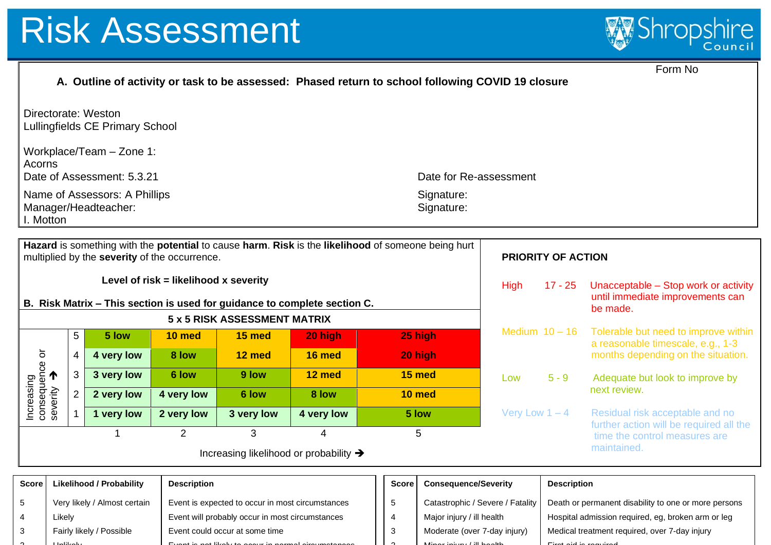3 ጎ

Fairly likely / Possible

Event could occur at some time

Event is not likely to occur in normal circumstances

Unlikely



Medical treatment required, over 7-day injury

First aid is required to the control of the control of the control of the control of the control of the control of

|                                                                                                                                                       | Form No<br>A. Outline of activity or task to be assessed: Phased return to school following COVID 19 closure                                                              |                                                        |                                                                                                     |                              |                                                                                      |                                                   |                    |                                                                                                            |                                                                          |                                                                         |  |
|-------------------------------------------------------------------------------------------------------------------------------------------------------|---------------------------------------------------------------------------------------------------------------------------------------------------------------------------|--------------------------------------------------------|-----------------------------------------------------------------------------------------------------|------------------------------|--------------------------------------------------------------------------------------|---------------------------------------------------|--------------------|------------------------------------------------------------------------------------------------------------|--------------------------------------------------------------------------|-------------------------------------------------------------------------|--|
|                                                                                                                                                       |                                                                                                                                                                           | Directorate: Weston<br>Lullingfields CE Primary School |                                                                                                     |                              |                                                                                      |                                                   |                    |                                                                                                            |                                                                          |                                                                         |  |
|                                                                                                                                                       | Workplace/Team - Zone 1:<br>Acorns<br>Date of Assessment: 5.3.21<br>Date for Re-assessment                                                                                |                                                        |                                                                                                     |                              |                                                                                      |                                                   |                    |                                                                                                            |                                                                          |                                                                         |  |
|                                                                                                                                                       | Name of Assessors: A Phillips<br>Signature:<br>Manager/Headteacher:<br>Signature:<br>I. Motton                                                                            |                                                        |                                                                                                     |                              |                                                                                      |                                                   |                    |                                                                                                            |                                                                          |                                                                         |  |
|                                                                                                                                                       | Hazard is something with the potential to cause harm. Risk is the likelihood of someone being hurt<br>multiplied by the severity of the occurrence.<br>PRIORITY OF ACTION |                                                        |                                                                                                     |                              |                                                                                      |                                                   |                    |                                                                                                            |                                                                          |                                                                         |  |
| Level of $risk = likelihood \times severity$<br><b>High</b><br>$17 - 25$<br>B. Risk Matrix - This section is used for guidance to complete section C. |                                                                                                                                                                           |                                                        |                                                                                                     |                              |                                                                                      |                                                   |                    | Unacceptable - Stop work or activity<br>until immediate improvements can<br>be made.                       |                                                                          |                                                                         |  |
|                                                                                                                                                       |                                                                                                                                                                           |                                                        |                                                                                                     | 5 x 5 RISK ASSESSMENT MATRIX |                                                                                      |                                                   |                    | Medium $10 - 16$                                                                                           |                                                                          | Tolerable but need to improve within                                    |  |
|                                                                                                                                                       | 5<br>$\overline{\mathbf{4}}$<br>$\mathfrak{S}$                                                                                                                            | 5 low<br>4 very low                                    | 10 med<br>8 low                                                                                     | 15 med<br>12 med             | 20 high<br>16 med                                                                    |                                                   | 25 high<br>20 high |                                                                                                            |                                                                          | a reasonable timescale, e.g., 1-3<br>months depending on the situation. |  |
|                                                                                                                                                       |                                                                                                                                                                           | 3 very low                                             | 6 low                                                                                               | 9 low                        | 12 med                                                                               | 15 med                                            |                    | Low                                                                                                        |                                                                          |                                                                         |  |
|                                                                                                                                                       | $\overline{2}$                                                                                                                                                            | 2 very low                                             | 4 very low                                                                                          | 6 low                        | 8 low                                                                                |                                                   | 10 med             |                                                                                                            | $5 - 9$                                                                  | Adequate but look to improve by<br>next review.                         |  |
| Increasing<br>consequence or<br>severity                                                                                                              | $\mathbf{1}$                                                                                                                                                              | 1 very low                                             | 2 very low                                                                                          | 3 very low                   | 4 very low                                                                           | 5 low                                             |                    | Very Low $1 - 4$                                                                                           |                                                                          | Residual risk acceptable and no                                         |  |
|                                                                                                                                                       | $\overline{2}$<br>3<br>$\mathbf{1}$                                                                                                                                       |                                                        |                                                                                                     |                              | $\overline{4}$                                                                       | 5                                                 |                    |                                                                                                            | further action will be required all the<br>time the control measures are |                                                                         |  |
|                                                                                                                                                       | maintained.<br>Increasing likelihood or probability →                                                                                                                     |                                                        |                                                                                                     |                              |                                                                                      |                                                   |                    |                                                                                                            |                                                                          |                                                                         |  |
| <b>Score</b><br><b>Likelihood / Probability</b><br><b>Description</b>                                                                                 |                                                                                                                                                                           |                                                        |                                                                                                     |                              | <b>Score</b>                                                                         | <b>Consequence/Severity</b><br><b>Description</b> |                    |                                                                                                            |                                                                          |                                                                         |  |
| Very likely / Almost certain<br>5<br>Likely<br>4                                                                                                      |                                                                                                                                                                           |                                                        | Event is expected to occur in most circumstances<br>Event will probably occur in most circumstances |                              | 5<br>Catastrophic / Severe / Fatality<br>Major injury / ill health<br>$\overline{4}$ |                                                   |                    | Death or permanent disability to one or more persons<br>Hospital admission required, eg, broken arm or leg |                                                                          |                                                                         |  |

3  $\sim$ 

Moderate (over 7-day injury) Minor in the contract of the contract of the contract of the contract of the contract of the contract of the contract of the contract of the contract of the contract of the contract of the contract of the contract of the c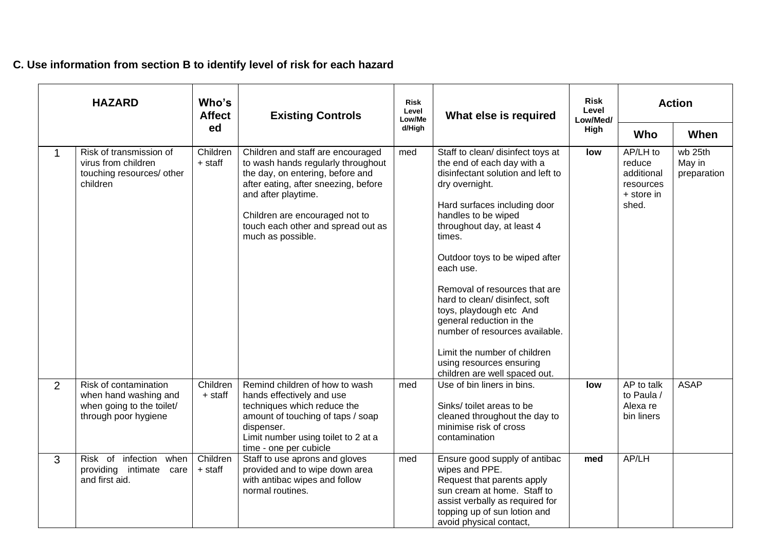## **C. Use information from section B to identify level of risk for each hazard**

| <b>HAZARD</b>                                                                                                         |                     | Who's<br><b>Affect</b><br><b>Existing Controls</b>                                                                                                                                                                                                                      |                  | What else is required                                                                                                                                                                                                                                                                                                                                                                                                                                                                                                         | <b>Risk</b><br>Level<br>Low/Med/ | <b>Action</b>                                                        |                                  |
|-----------------------------------------------------------------------------------------------------------------------|---------------------|-------------------------------------------------------------------------------------------------------------------------------------------------------------------------------------------------------------------------------------------------------------------------|------------------|-------------------------------------------------------------------------------------------------------------------------------------------------------------------------------------------------------------------------------------------------------------------------------------------------------------------------------------------------------------------------------------------------------------------------------------------------------------------------------------------------------------------------------|----------------------------------|----------------------------------------------------------------------|----------------------------------|
|                                                                                                                       | ed                  |                                                                                                                                                                                                                                                                         | Low/Me<br>d/High |                                                                                                                                                                                                                                                                                                                                                                                                                                                                                                                               | High                             | Who                                                                  | When                             |
| Risk of transmission of<br>1<br>virus from children<br>touching resources/ other<br>children                          | Children<br>+ staff | Children and staff are encouraged<br>to wash hands regularly throughout<br>the day, on entering, before and<br>after eating, after sneezing, before<br>and after playtime.<br>Children are encouraged not to<br>touch each other and spread out as<br>much as possible. | med              | Staff to clean/ disinfect toys at<br>the end of each day with a<br>disinfectant solution and left to<br>dry overnight.<br>Hard surfaces including door<br>handles to be wiped<br>throughout day, at least 4<br>times.<br>Outdoor toys to be wiped after<br>each use.<br>Removal of resources that are<br>hard to clean/ disinfect, soft<br>toys, playdough etc And<br>general reduction in the<br>number of resources available.<br>Limit the number of children<br>using resources ensuring<br>children are well spaced out. | low                              | AP/LH to<br>reduce<br>additional<br>resources<br>+ store in<br>shed. | wb 25th<br>May in<br>preparation |
| $\overline{2}$<br>Risk of contamination<br>when hand washing and<br>when going to the toilet/<br>through poor hygiene | Children<br>+ staff | Remind children of how to wash<br>hands effectively and use<br>techniques which reduce the<br>amount of touching of taps / soap<br>dispenser.<br>Limit number using toilet to 2 at a<br>time - one per cubicle                                                          | med              | Use of bin liners in bins.<br>Sinks/ toilet areas to be<br>cleaned throughout the day to<br>minimise risk of cross<br>contamination                                                                                                                                                                                                                                                                                                                                                                                           | low                              | AP to talk<br>to Paula /<br>Alexa re<br>bin liners                   | <b>ASAP</b>                      |
| Risk of infection when<br>3<br>providing<br>intimate<br>care<br>and first aid.                                        | Children<br>+ staff | Staff to use aprons and gloves<br>provided and to wipe down area<br>with antibac wipes and follow<br>normal routines.                                                                                                                                                   | med              | Ensure good supply of antibac<br>wipes and PPE.<br>Request that parents apply<br>sun cream at home. Staff to<br>assist verbally as required for<br>topping up of sun lotion and<br>avoid physical contact,                                                                                                                                                                                                                                                                                                                    | med                              | AP/LH                                                                |                                  |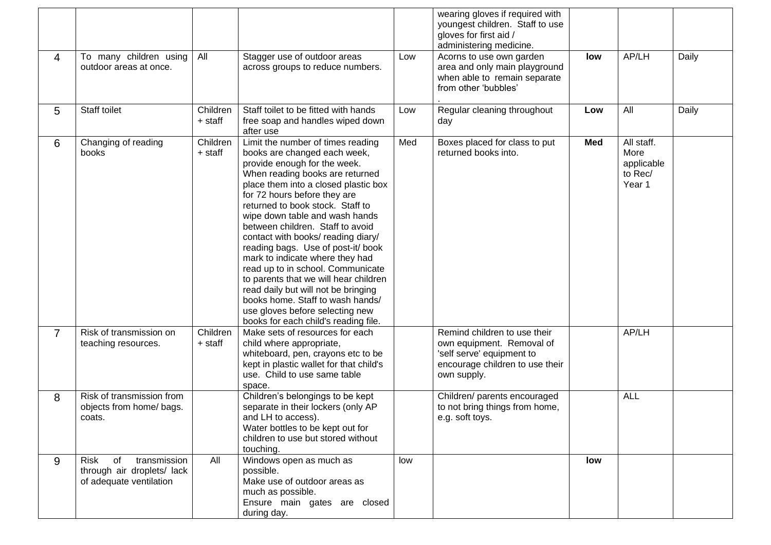|                |                                                                                     |                     |                                                                                                                                                                                                                                                                                                                                                                                                                                                                                                                                                                                                                                                                           |     | wearing gloves if required with<br>youngest children. Staff to use<br>gloves for first aid /<br>administering medicine.                  |            |                                                       |       |
|----------------|-------------------------------------------------------------------------------------|---------------------|---------------------------------------------------------------------------------------------------------------------------------------------------------------------------------------------------------------------------------------------------------------------------------------------------------------------------------------------------------------------------------------------------------------------------------------------------------------------------------------------------------------------------------------------------------------------------------------------------------------------------------------------------------------------------|-----|------------------------------------------------------------------------------------------------------------------------------------------|------------|-------------------------------------------------------|-------|
| $\overline{4}$ | To many children using<br>outdoor areas at once.                                    | All                 | Stagger use of outdoor areas<br>across groups to reduce numbers.                                                                                                                                                                                                                                                                                                                                                                                                                                                                                                                                                                                                          | Low | Acorns to use own garden<br>area and only main playground<br>when able to remain separate<br>from other 'bubbles'                        | low        | AP/LH                                                 | Daily |
| 5              | Staff toilet                                                                        | Children<br>+ staff | Staff toilet to be fitted with hands<br>free soap and handles wiped down<br>after use                                                                                                                                                                                                                                                                                                                                                                                                                                                                                                                                                                                     | Low | Regular cleaning throughout<br>day                                                                                                       | Low        | All                                                   | Daily |
| 6              | Changing of reading<br>books                                                        | Children<br>+ staff | Limit the number of times reading<br>books are changed each week,<br>provide enough for the week.<br>When reading books are returned<br>place them into a closed plastic box<br>for 72 hours before they are<br>returned to book stock. Staff to<br>wipe down table and wash hands<br>between children. Staff to avoid<br>contact with books/ reading diary/<br>reading bags. Use of post-it/ book<br>mark to indicate where they had<br>read up to in school. Communicate<br>to parents that we will hear children<br>read daily but will not be bringing<br>books home. Staff to wash hands/<br>use gloves before selecting new<br>books for each child's reading file. | Med | Boxes placed for class to put<br>returned books into.                                                                                    | <b>Med</b> | All staff.<br>More<br>applicable<br>to Rec/<br>Year 1 |       |
| $\overline{7}$ | Risk of transmission on<br>teaching resources.                                      | Children<br>+ staff | Make sets of resources for each<br>child where appropriate,<br>whiteboard, pen, crayons etc to be<br>kept in plastic wallet for that child's<br>use. Child to use same table<br>space.                                                                                                                                                                                                                                                                                                                                                                                                                                                                                    |     | Remind children to use their<br>own equipment. Removal of<br>'self serve' equipment to<br>encourage children to use their<br>own supply. |            | AP/LH                                                 |       |
| 8              | Risk of transmission from<br>objects from home/ bags.<br>coats.                     |                     | Children's belongings to be kept<br>separate in their lockers (only AP<br>and LH to access).<br>Water bottles to be kept out for<br>children to use but stored without<br>touching.                                                                                                                                                                                                                                                                                                                                                                                                                                                                                       |     | Children/ parents encouraged<br>to not bring things from home,<br>e.g. soft toys.                                                        |            | <b>ALL</b>                                            |       |
| 9              | transmission<br>Risk<br>of<br>through air droplets/ lack<br>of adequate ventilation | All                 | Windows open as much as<br>possible.<br>Make use of outdoor areas as<br>much as possible.<br>Ensure main gates are closed<br>during day.                                                                                                                                                                                                                                                                                                                                                                                                                                                                                                                                  | low |                                                                                                                                          | low        |                                                       |       |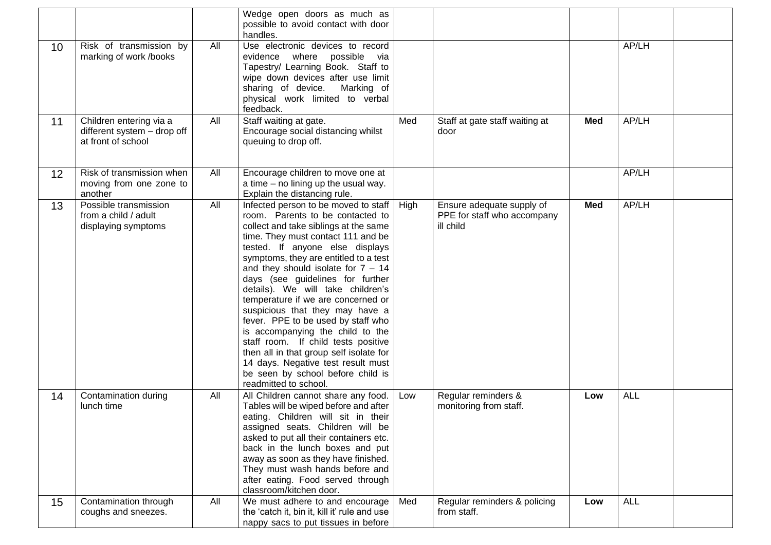|                 |                                                                              |     | Wedge open doors as much as<br>possible to avoid contact with door<br>handles.                                                                                                                                                                                                                                                                                                                                                                                                                                                                                                                                                                                                                |      |                                                                       |            |            |  |
|-----------------|------------------------------------------------------------------------------|-----|-----------------------------------------------------------------------------------------------------------------------------------------------------------------------------------------------------------------------------------------------------------------------------------------------------------------------------------------------------------------------------------------------------------------------------------------------------------------------------------------------------------------------------------------------------------------------------------------------------------------------------------------------------------------------------------------------|------|-----------------------------------------------------------------------|------------|------------|--|
| 10 <sup>°</sup> | Risk of transmission by<br>marking of work /books                            | All | Use electronic devices to record<br>evidence where possible via<br>Tapestry/ Learning Book. Staff to<br>wipe down devices after use limit<br>sharing of device.<br>Marking of<br>physical work limited to verbal<br>feedback.                                                                                                                                                                                                                                                                                                                                                                                                                                                                 |      |                                                                       |            | AP/LH      |  |
| 11              | Children entering via a<br>different system - drop off<br>at front of school | All | Staff waiting at gate.<br>Encourage social distancing whilst<br>queuing to drop off.                                                                                                                                                                                                                                                                                                                                                                                                                                                                                                                                                                                                          | Med  | Staff at gate staff waiting at<br>door                                | Med        | AP/LH      |  |
| 12 <sup>2</sup> | Risk of transmission when<br>moving from one zone to<br>another              | All | Encourage children to move one at<br>a time – no lining up the usual way.<br>Explain the distancing rule.                                                                                                                                                                                                                                                                                                                                                                                                                                                                                                                                                                                     |      |                                                                       |            | AP/LH      |  |
| 13              | Possible transmission<br>from a child / adult<br>displaying symptoms         | All | Infected person to be moved to staff<br>room. Parents to be contacted to<br>collect and take siblings at the same<br>time. They must contact 111 and be<br>tested. If anyone else displays<br>symptoms, they are entitled to a test<br>and they should isolate for $7 - 14$<br>days (see guidelines for further<br>details). We will take children's<br>temperature if we are concerned or<br>suspicious that they may have a<br>fever. PPE to be used by staff who<br>is accompanying the child to the<br>staff room. If child tests positive<br>then all in that group self isolate for<br>14 days. Negative test result must<br>be seen by school before child is<br>readmitted to school. | High | Ensure adequate supply of<br>PPE for staff who accompany<br>ill child | <b>Med</b> | AP/LH      |  |
| 14              | Contamination during<br>lunch time                                           | All | All Children cannot share any food.<br>Tables will be wiped before and after<br>eating. Children will sit in their<br>assigned seats. Children will be<br>asked to put all their containers etc.<br>back in the lunch boxes and put<br>away as soon as they have finished.<br>They must wash hands before and<br>after eating. Food served through<br>classroom/kitchen door.                                                                                                                                                                                                                                                                                                                 | Low  | Regular reminders &<br>monitoring from staff.                         | Low        | <b>ALL</b> |  |
| 15              | Contamination through<br>coughs and sneezes.                                 | All | We must adhere to and encourage<br>the 'catch it, bin it, kill it' rule and use<br>nappy sacs to put tissues in before                                                                                                                                                                                                                                                                                                                                                                                                                                                                                                                                                                        | Med  | Regular reminders & policing<br>from staff.                           | Low        | <b>ALL</b> |  |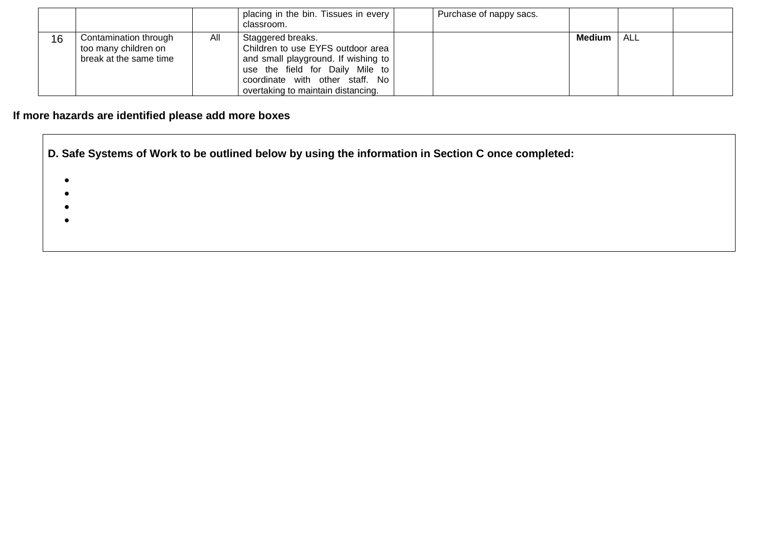|    |                                                                         |     | placing in the bin. Tissues in every<br>classroom.                                                                                                                                                        | Purchase of nappy sacs. |        |            |  |
|----|-------------------------------------------------------------------------|-----|-----------------------------------------------------------------------------------------------------------------------------------------------------------------------------------------------------------|-------------------------|--------|------------|--|
| 16 | Contamination through<br>too many children on<br>break at the same time | All | Staggered breaks.<br>Children to use EYFS outdoor area<br>and small playground. If wishing to<br>use the field for Daily Mile to<br>coordinate with other staff. No<br>overtaking to maintain distancing. |                         | Medium | <b>ALL</b> |  |

## **If more hazards are identified please add more boxes**

**D. Safe Systems of Work to be outlined below by using the information in Section C once completed:**

- •
- •
- •
- •